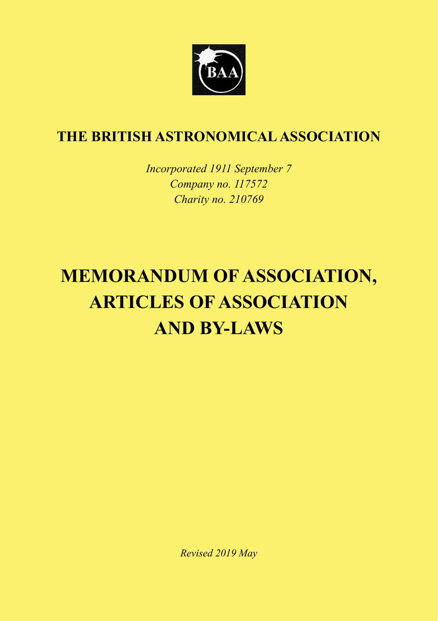

*Incorporated 1911 September 7 Company no. 117572 Charity no. 210769*

# **MEMORANDUM OF ASSOCIATION, ARTICLES OF ASSOCIATION AND BY-LAWS**

*Revised 2019 May*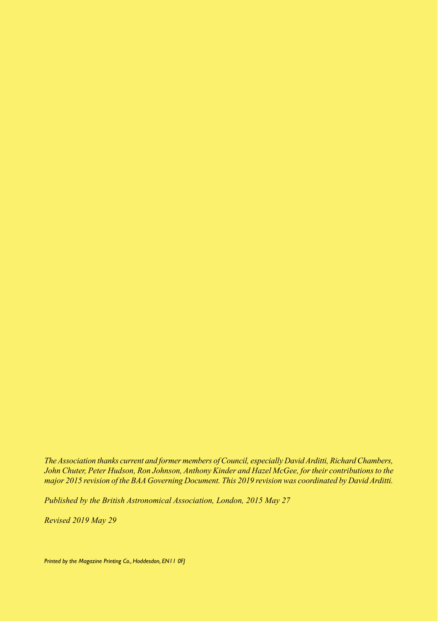*The Association thanks current and former members of Council, especially David Arditti, Richard Chambers, John Chuter, Peter Hudson, Ron Johnson, Anthony Kinder and Hazel McGee, for their contributions to the major 2015 revision of the BAA Governing Document. This 2019 revision was coordinated by David Arditti.*

*Published by the British Astronomical Association, London, 2015 May 27*

*Revised 2019 May 29*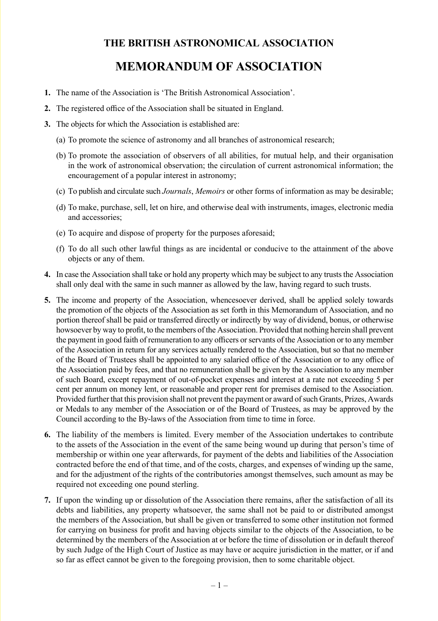# **MEMORANDUM OF ASSOCIATION**

- **1.** The name of the Association is 'The British Astronomical Association'.
- **2.** The registered office of the Association shall be situated in England.
- **3.** The objects for which the Association is established are:
	- (a) To promote the science of astronomy and all branches of astronomical research;
	- (b) To promote the association of observers of all abilities, for mutual help, and their organisation in the work of astronomical observation; the circulation of current astronomical information; the encouragement of a popular interest in astronomy;
	- (c) To publish and circulate such *Journals*, *Memoirs* or other forms of information as may be desirable;
	- (d) To make, purchase, sell, let on hire, and otherwise deal with instruments, images, electronic media and accessories;
	- (e) To acquire and dispose of property for the purposes aforesaid;
	- (f) To do all such other lawful things as are incidental or conducive to the attainment of the above objects or any of them.
- **4.** In case the Association shall take or hold any property which may be subject to any trusts the Association shall only deal with the same in such manner as allowed by the law, having regard to such trusts.
- **5.** The income and property of the Association, whencesoever derived, shall be applied solely towards the promotion of the objects of the Association as set forth in this Memorandum of Association, and no portion thereof shall be paid or transferred directly or indirectly by way of dividend, bonus, or otherwise howsoever by way to profit, to the members of the Association. Provided that nothing herein shall prevent the payment in good faith of remuneration to any officers or servants of the Association or to any member of the Association in return for any services actually rendered to the Association, but so that no member of the Board of Trustees shall be appointed to any salaried office of the Association or to any office of the Association paid by fees, and that no remuneration shall be given by the Association to any member of such Board, except repayment of out-of-pocket expenses and interest at a rate not exceeding 5 per cent per annum on money lent, or reasonable and proper rent for premises demised to the Association. Provided further that this provision shall not prevent the payment or award of such Grants, Prizes, Awards or Medals to any member of the Association or of the Board of Trustees, as may be approved by the Council according to the By-laws of the Association from time to time in force.
- **6.** The liability of the members is limited. Every member of the Association undertakes to contribute to the assets of the Association in the event of the same being wound up during that person's time of membership or within one year afterwards, for payment of the debts and liabilities of the Association contracted before the end of that time, and of the costs, charges, and expenses of winding up the same, and for the adjustment of the rights of the contributories amongst themselves, such amount as may be required not exceeding one pound sterling.
- **7.** If upon the winding up or dissolution of the Association there remains, after the satisfaction of all its debts and liabilities, any property whatsoever, the same shall not be paid to or distributed amongst the members of the Association, but shall be given or transferred to some other institution not formed for carrying on business for profit and having objects similar to the objects of the Association, to be determined by the members of the Association at or before the time of dissolution or in default thereof by such Judge of the High Court of Justice as may have or acquire jurisdiction in the matter, or if and so far as effect cannot be given to the foregoing provision, then to some charitable object.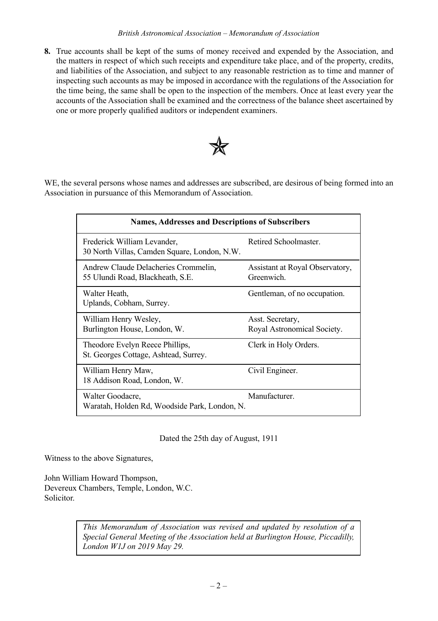**8.** True accounts shall be kept of the sums of money received and expended by the Association, and the matters in respect of which such receipts and expenditure take place, and of the property, credits, and liabilities of the Association, and subject to any reasonable restriction as to time and manner of inspecting such accounts as may be imposed in accordance with the regulations of the Association for the time being, the same shall be open to the inspection of the members. Once at least every year the accounts of the Association shall be examined and the correctness of the balance sheet ascertained by one or more properly qualified auditors or independent examiners.



WE, the several persons whose names and addresses are subscribed, are desirous of being formed into an Association in pursuance of this Memorandum of Association.

| <b>Names, Addresses and Descriptions of Subscribers</b>                     |                                               |
|-----------------------------------------------------------------------------|-----------------------------------------------|
| Frederick William Levander,<br>30 North Villas, Camden Square, London, N.W. | Retired Schoolmaster.                         |
| Andrew Claude Delacheries Crommelin,<br>55 Ulundi Road, Blackheath, S.E.    | Assistant at Royal Observatory,<br>Greenwich. |
| Walter Heath.<br>Uplands, Cobham, Surrey.                                   | Gentleman, of no occupation.                  |
| William Henry Wesley,                                                       | Asst. Secretary,                              |
| Burlington House, London, W.                                                | Royal Astronomical Society.                   |
| Theodore Evelyn Reece Phillips,                                             | Clerk in Holy Orders.                         |
| St. Georges Cottage, Ashtead, Surrey.                                       |                                               |
| William Henry Maw,                                                          | Civil Engineer.                               |
| 18 Addison Road, London, W.                                                 |                                               |
| Walter Goodacre,                                                            | Manufacturer.                                 |
| Waratah, Holden Rd, Woodside Park, London, N.                               |                                               |

#### Dated the 25th day of August, 1911

Witness to the above Signatures,

John William Howard Thompson, Devereux Chambers, Temple, London, W.C. Solicitor.

> *This Memorandum of Association was revised and updated by resolution of a Special General Meeting of the Association held at Burlington House, Piccadilly, London W1J on 2019 May 29.*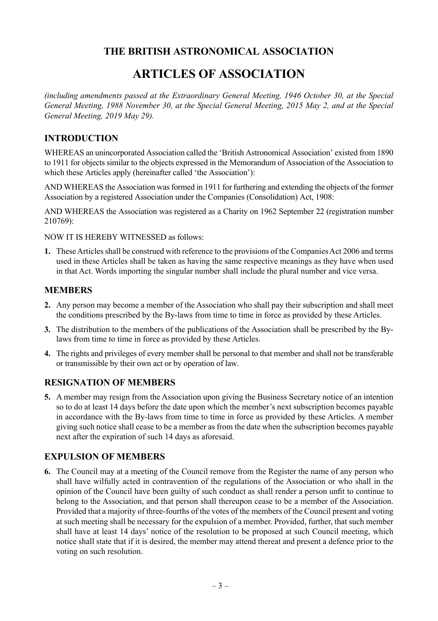# **ARTICLES OF ASSOCIATION**

*(including amendments passed at the Extraordinary General Meeting, 1946 October 30, at the Special General Meeting, 1988 November 30, at the Special General Meeting, 2015 May 2, and at the Special General Meeting, 2019 May 29).*

#### **INTRODUCTION**

WHEREAS an unincorporated Association called the 'British Astronomical Association' existed from 1890 to 1911 for objects similar to the objects expressed in the Memorandum of Association of the Association to which these Articles apply (hereinafter called 'the Association'):

AND WHEREAS the Association was formed in 1911 for furthering and extending the objects of the former Association by a registered Association under the Companies (Consolidation) Act, 1908:

AND WHEREAS the Association was registered as a Charity on 1962 September 22 (registration number 210769):

NOW IT IS HEREBY WITNESSED as follows:

**1.** These Articles shall be construed with reference to the provisions of the Companies Act 2006 and terms used in these Articles shall be taken as having the same respective meanings as they have when used in that Act. Words importing the singular number shall include the plural number and vice versa.

#### **MEMBERS**

- **2.** Any person may become a member of the Association who shall pay their subscription and shall meet the conditions prescribed by the By-laws from time to time in force as provided by these Articles.
- **3.** The distribution to the members of the publications of the Association shall be prescribed by the Bylaws from time to time in force as provided by these Articles.
- **4.** The rights and privileges of every member shall be personal to that member and shall not be transferable or transmissible by their own act or by operation of law.

#### **RESIGNATION OF MEMBERS**

**5.** A member may resign from the Association upon giving the Business Secretary notice of an intention so to do at least 14 days before the date upon which the member's next subscription becomes payable in accordance with the By-laws from time to time in force as provided by these Articles. A member giving such notice shall cease to be a member as from the date when the subscription becomes payable next after the expiration of such 14 days as aforesaid.

#### **EXPULSION OF MEMBERS**

**6.** The Council may at a meeting of the Council remove from the Register the name of any person who shall have wilfully acted in contravention of the regulations of the Association or who shall in the opinion of the Council have been guilty of such conduct as shall render a person unfit to continue to belong to the Association, and that person shall thereupon cease to be a member of the Association. Provided that a majority of three-fourths of the votes of the members of the Council present and voting at such meeting shall be necessary for the expulsion of a member. Provided, further, that such member shall have at least 14 days' notice of the resolution to be proposed at such Council meeting, which notice shall state that if it is desired, the member may attend thereat and present a defence prior to the voting on such resolution.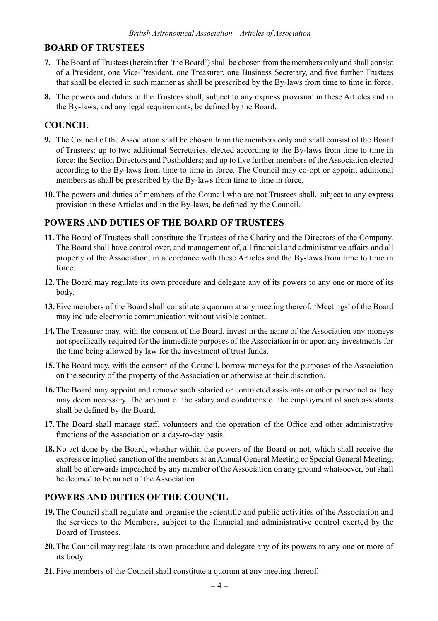#### **BOARD OF TRUSTEES**

- **7.** The Board of Trustees (hereinafter 'the Board') shall be chosen from the members only and shall consist of a President, one Vice-President, one Treasurer, one Business Secretary, and five further Trustees that shall be elected in such manner as shall be prescribed by the By-laws from time to time in force.
- **8.** The powers and duties of the Trustees shall, subject to any express provision in these Articles and in the By-laws, and any legal requirements, be defined by the Board.

### **COUNCIL**

- **9.** The Council of the Association shall be chosen from the members only and shall consist of the Board of Trustees; up to two additional Secretaries, elected according to the By-laws from time to time in force; the Section Directors and Postholders; and up to five further members of the Association elected according to the By-laws from time to time in force. The Council may co-opt or appoint additional members as shall be prescribed by the By-laws from time to time in force.
- **10.** The powers and duties of members of the Council who are not Trustees shall, subject to any express provision in these Articles and in the By-laws, be defined by the Council.

#### **POWERS AND DUTIES OF THE BOARD OF TRUSTEES**

- **11.** The Board of Trustees shall constitute the Trustees of the Charity and the Directors of the Company. The Board shall have control over, and management of, all financial and administrative affairs and all property of the Association, in accordance with these Articles and the By-laws from time to time in force.
- **12.** The Board may regulate its own procedure and delegate any of its powers to any one or more of its body.
- **13.** Five members of the Board shall constitute a quorum at any meeting thereof. 'Meetings' of the Board may include electronic communication without visible contact.
- **14.** The Treasurer may, with the consent of the Board, invest in the name of the Association any moneys not specifically required for the immediate purposes of the Association in or upon any investments for the time being allowed by law for the investment of trust funds.
- **15.** The Board may, with the consent of the Council, borrow moneys for the purposes of the Association on the security of the property of the Association or otherwise at their discretion.
- **16.** The Board may appoint and remove such salaried or contracted assistants or other personnel as they may deem necessary. The amount of the salary and conditions of the employment of such assistants shall be defined by the Board.
- **17.** The Board shall manage staff, volunteers and the operation of the Office and other administrative functions of the Association on a day-to-day basis.
- **18.** No act done by the Board, whether within the powers of the Board or not, which shall receive the express or implied sanction of the members at an Annual General Meeting or Special General Meeting, shall be afterwards impeached by any member of the Association on any ground whatsoever, but shall be deemed to be an act of the Association.

#### **POWERS AND DUTIES OF THE COUNCIL**

- **19.** The Council shall regulate and organise the scientific and public activities of the Association and the services to the Members, subject to the financial and administrative control exerted by the Board of Trustees.
- **20.** The Council may regulate its own procedure and delegate any of its powers to any one or more of its body.
- **21.** Five members of the Council shall constitute a quorum at any meeting thereof.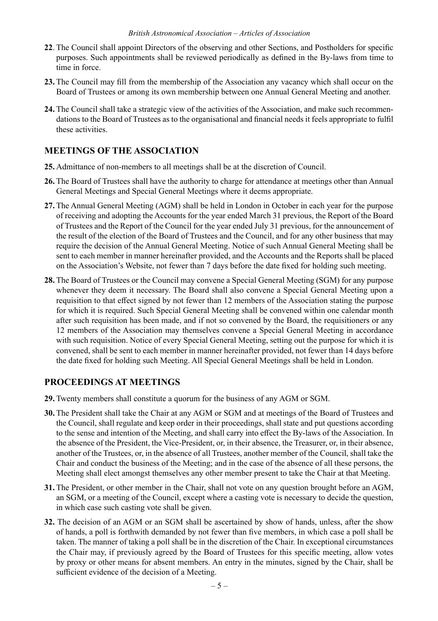- **22**. The Council shall appoint Directors of the observing and other Sections, and Postholders for specific purposes. Such appointments shall be reviewed periodically as defined in the By-laws from time to time in force.
- **23.** The Council may fill from the membership of the Association any vacancy which shall occur on the Board of Trustees or among its own membership between one Annual General Meeting and another.
- **24.** The Council shall take a strategic view of the activities of the Association, and make such recommendations to the Board of Trustees as to the organisational and financial needs it feels appropriate to fulfil these activities.

#### **MEETINGS OF THE ASSOCIATION**

- **25.** Admittance of non-members to all meetings shall be at the discretion of Council.
- **26.** The Board of Trustees shall have the authority to charge for attendance at meetings other than Annual General Meetings and Special General Meetings where it deems appropriate.
- **27.** The Annual General Meeting (AGM) shall be held in London in October in each year for the purpose of receiving and adopting the Accounts for the year ended March 31 previous, the Report of the Board of Trustees and the Report of the Council for the year ended July 31 previous, for the announcement of the result of the election of the Board of Trustees and the Council, and for any other business that may require the decision of the Annual General Meeting. Notice of such Annual General Meeting shall be sent to each member in manner hereinafter provided, and the Accounts and the Reports shall be placed on the Association's Website, not fewer than 7 days before the date fixed for holding such meeting.
- **28.** The Board of Trustees or the Council may convene a Special General Meeting (SGM) for any purpose whenever they deem it necessary. The Board shall also convene a Special General Meeting upon a requisition to that effect signed by not fewer than 12 members of the Association stating the purpose for which it is required. Such Special General Meeting shall be convened within one calendar month after such requisition has been made, and if not so convened by the Board, the requisitioners or any 12 members of the Association may themselves convene a Special General Meeting in accordance with such requisition. Notice of every Special General Meeting, setting out the purpose for which it is convened, shall be sent to each member in manner hereinafter provided, not fewer than 14 days before the date fixed for holding such Meeting. All Special General Meetings shall be held in London.

#### **PROCEEDINGS AT MEETINGS**

- **29.** Twenty members shall constitute a quorum for the business of any AGM or SGM.
- **30.** The President shall take the Chair at any AGM or SGM and at meetings of the Board of Trustees and the Council, shall regulate and keep order in their proceedings, shall state and put questions according to the sense and intention of the Meeting, and shall carry into effect the By-laws of the Association. In the absence of the President, the Vice-President, or, in their absence, the Treasurer, or, in their absence, another of the Trustees, or, in the absence of all Trustees, another member of the Council, shall take the Chair and conduct the business of the Meeting; and in the case of the absence of all these persons, the Meeting shall elect amongst themselves any other member present to take the Chair at that Meeting.
- **31.** The President, or other member in the Chair, shall not vote on any question brought before an AGM, an SGM, or a meeting of the Council, except where a casting vote is necessary to decide the question, in which case such casting vote shall be given.
- **32.** The decision of an AGM or an SGM shall be ascertained by show of hands, unless, after the show of hands, a poll is forthwith demanded by not fewer than five members, in which case a poll shall be taken. The manner of taking a poll shall be in the discretion of the Chair. In exceptional circumstances the Chair may, if previously agreed by the Board of Trustees for this specific meeting, allow votes by proxy or other means for absent members. An entry in the minutes, signed by the Chair, shall be sufficient evidence of the decision of a Meeting.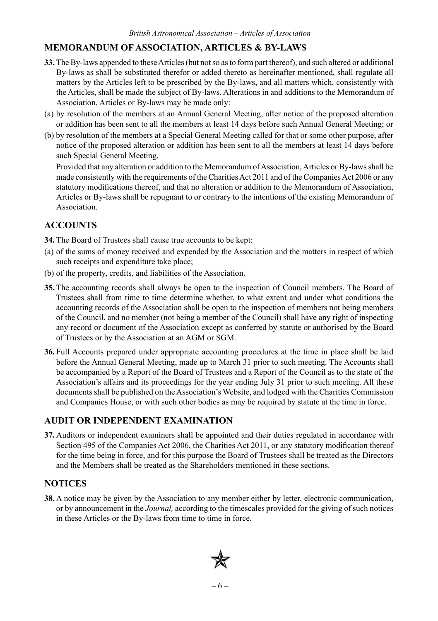#### **MEMORANDUM OF ASSOCIATION, ARTICLES & BY-LAWS**

- **33.** The By-laws appended to these Articles (but not so as to form part thereof), and such altered or additional By-laws as shall be substituted therefor or added thereto as hereinafter mentioned, shall regulate all matters by the Articles left to be prescribed by the By-laws, and all matters which, consistently with the Articles, shall be made the subject of By-laws. Alterations in and additions to the Memorandum of Association, Articles or By-laws may be made only:
- (a) by resolution of the members at an Annual General Meeting, after notice of the proposed alteration or addition has been sent to all the members at least 14 days before such Annual General Meeting; or
- (b) by resolution of the members at a Special General Meeting called for that or some other purpose, after notice of the proposed alteration or addition has been sent to all the members at least 14 days before such Special General Meeting.

Provided that any alteration or addition to the Memorandum of Association, Articles or By-laws shall be made consistently with the requirements of the Charities Act 2011 and of the Companies Act 2006 or any statutory modifications thereof, and that no alteration or addition to the Memorandum of Association, Articles or By-laws shall be repugnant to or contrary to the intentions of the existing Memorandum of Association.

#### **ACCOUNTS**

**34.** The Board of Trustees shall cause true accounts to be kept:

- (a) of the sums of money received and expended by the Association and the matters in respect of which such receipts and expenditure take place;
- (b) of the property, credits, and liabilities of the Association.
- **35.** The accounting records shall always be open to the inspection of Council members. The Board of Trustees shall from time to time determine whether, to what extent and under what conditions the accounting records of the Association shall be open to the inspection of members not being members of the Council, and no member (not being a member of the Council) shall have any right of inspecting any record or document of the Association except as conferred by statute or authorised by the Board of Trustees or by the Association at an AGM or SGM.
- **36.** Full Accounts prepared under appropriate accounting procedures at the time in place shall be laid before the Annual General Meeting, made up to March 31 prior to such meeting. The Accounts shall be accompanied by a Report of the Board of Trustees and a Report of the Council as to the state of the Association's affairs and its proceedings for the year ending July 31 prior to such meeting. All these documents shall be published on the Association's Website, and lodged with the Charities Commission and Companies House, or with such other bodies as may be required by statute at the time in force.

#### **AUDIT OR INDEPENDENT EXAMINATION**

**37.** Auditors or independent examiners shall be appointed and their duties regulated in accordance with Section 495 of the Companies Act 2006, the Charities Act 2011, or any statutory modification thereof for the time being in force, and for this purpose the Board of Trustees shall be treated as the Directors and the Members shall be treated as the Shareholders mentioned in these sections.

#### **NOTICES**

**38.** A notice may be given by the Association to any member either by letter, electronic communication, or by announcement in the *Journal,* according to the timescales provided for the giving of such notices in these Articles or the By-laws from time to time in force.

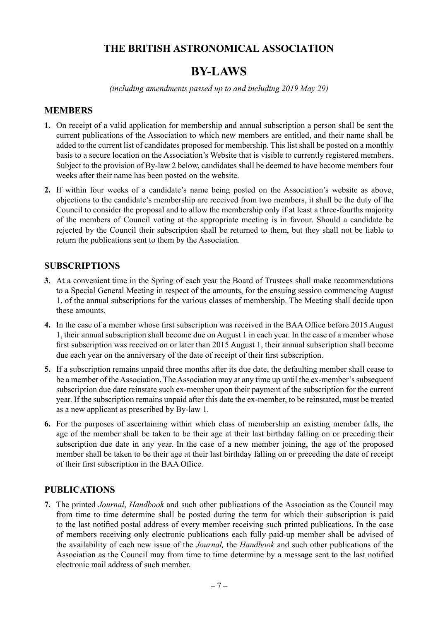# **BY-LAWS**

*(including amendments passed up to and including 2019 May 29)*

#### **MEMBERS**

- **1.** On receipt of a valid application for membership and annual subscription a person shall be sent the current publications of the Association to which new members are entitled, and their name shall be added to the current list of candidates proposed for membership. This list shall be posted on a monthly basis to a secure location on the Association's Website that is visible to currently registered members. Subject to the provision of By-law 2 below, candidates shall be deemed to have become members four weeks after their name has been posted on the website.
- **2.** If within four weeks of a candidate's name being posted on the Association's website as above, objections to the candidate's membership are received from two members, it shall be the duty of the Council to consider the proposal and to allow the membership only if at least a three-fourths majority of the members of Council voting at the appropriate meeting is in favour. Should a candidate be rejected by the Council their subscription shall be returned to them, but they shall not be liable to return the publications sent to them by the Association.

#### **SUBSCRIPTIONS**

- **3.** At a convenient time in the Spring of each year the Board of Trustees shall make recommendations to a Special General Meeting in respect of the amounts, for the ensuing session commencing August 1, of the annual subscriptions for the various classes of membership. The Meeting shall decide upon these amounts.
- **4.** In the case of a member whose first subscription was received in the BAA Office before 2015 August 1, their annual subscription shall become due on August 1 in each year. In the case of a member whose first subscription was received on or later than 2015 August 1, their annual subscription shall become due each year on the anniversary of the date of receipt of their first subscription.
- **5.** If a subscription remains unpaid three months after its due date, the defaulting member shall cease to be a member of the Association. The Association may at any time up until the ex-member's subsequent subscription due date reinstate such ex-member upon their payment of the subscription for the current year. If the subscription remains unpaid after this date the ex-member, to be reinstated, must be treated as a new applicant as prescribed by By-law 1.
- **6.** For the purposes of ascertaining within which class of membership an existing member falls, the age of the member shall be taken to be their age at their last birthday falling on or preceding their subscription due date in any year. In the case of a new member joining, the age of the proposed member shall be taken to be their age at their last birthday falling on or preceding the date of receipt of their first subscription in the BAA Office.

#### **PUBLICATIONS**

**7.** The printed *Journal*, *Handbook* and such other publications of the Association as the Council may from time to time determine shall be posted during the term for which their subscription is paid to the last notified postal address of every member receiving such printed publications. In the case of members receiving only electronic publications each fully paid-up member shall be advised of the availability of each new issue of the *Journal,* the *Handbook* and such other publications of the Association as the Council may from time to time determine by a message sent to the last notified electronic mail address of such member.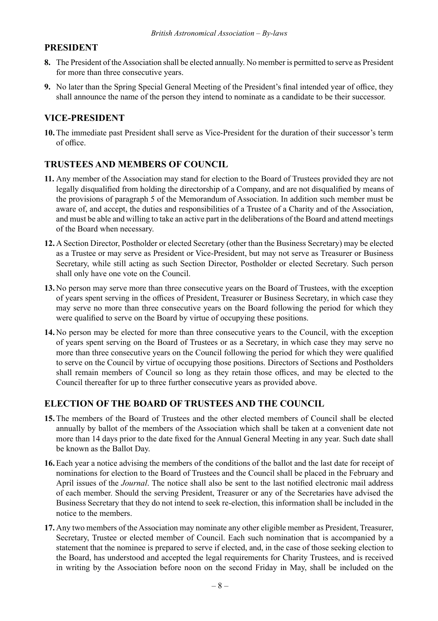#### **PRESIDENT**

- **8.** The President of the Association shall be elected annually. No member is permitted to serve as President for more than three consecutive years.
- **9.** No later than the Spring Special General Meeting of the President's final intended year of office, they shall announce the name of the person they intend to nominate as a candidate to be their successor.

#### **VICE-PRESIDENT**

**10.** The immediate past President shall serve as Vice-President for the duration of their successor's term of office.

#### **TRUSTEES AND MEMBERS OF COUNCIL**

- **11.** Any member of the Association may stand for election to the Board of Trustees provided they are not legally disqualified from holding the directorship of a Company, and are not disqualified by means of the provisions of paragraph 5 of the Memorandum of Association. In addition such member must be aware of, and accept, the duties and responsibilities of a Trustee of a Charity and of the Association, and must be able and willing to take an active part in the deliberations of the Board and attend meetings of the Board when necessary.
- **12.** A Section Director, Postholder or elected Secretary (other than the Business Secretary) may be elected as a Trustee or may serve as President or Vice-President, but may not serve as Treasurer or Business Secretary, while still acting as such Section Director, Postholder or elected Secretary. Such person shall only have one vote on the Council.
- **13.** No person may serve more than three consecutive years on the Board of Trustees, with the exception of years spent serving in the offices of President, Treasurer or Business Secretary, in which case they may serve no more than three consecutive years on the Board following the period for which they were qualified to serve on the Board by virtue of occupying these positions.
- **14.** No person may be elected for more than three consecutive years to the Council, with the exception of years spent serving on the Board of Trustees or as a Secretary, in which case they may serve no more than three consecutive years on the Council following the period for which they were qualified to serve on the Council by virtue of occupying those positions. Directors of Sections and Postholders shall remain members of Council so long as they retain those offices, and may be elected to the Council thereafter for up to three further consecutive years as provided above.

#### **ELECTION OF THE BOARD OF TRUSTEES AND THE COUNCIL**

- **15.** The members of the Board of Trustees and the other elected members of Council shall be elected annually by ballot of the members of the Association which shall be taken at a convenient date not more than 14 days prior to the date fixed for the Annual General Meeting in any year. Such date shall be known as the Ballot Day.
- **16.** Each year a notice advising the members of the conditions of the ballot and the last date for receipt of nominations for election to the Board of Trustees and the Council shall be placed in the February and April issues of the *Journal*. The notice shall also be sent to the last notified electronic mail address of each member. Should the serving President, Treasurer or any of the Secretaries have advised the Business Secretary that they do not intend to seek re-election, this information shall be included in the notice to the members.
- **17.** Any two members of the Association may nominate any other eligible member as President, Treasurer, Secretary, Trustee or elected member of Council. Each such nomination that is accompanied by a statement that the nominee is prepared to serve if elected, and, in the case of those seeking election to the Board, has understood and accepted the legal requirements for Charity Trustees, and is received in writing by the Association before noon on the second Friday in May, shall be included on the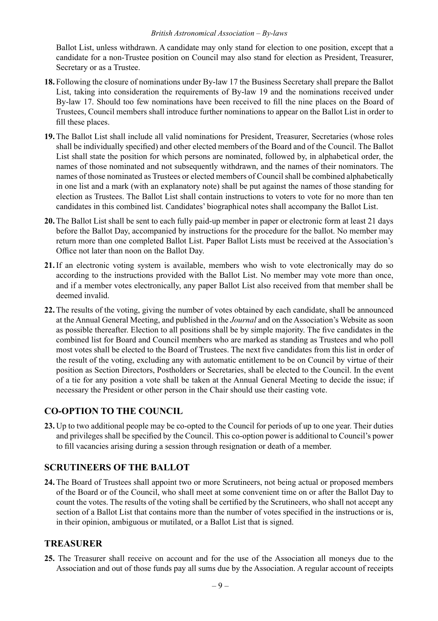#### *British Astronomical Association – By-laws*

Ballot List, unless withdrawn. A candidate may only stand for election to one position, except that a candidate for a non-Trustee position on Council may also stand for election as President, Treasurer, Secretary or as a Trustee.

- **18.** Following the closure of nominations under By-law 17 the Business Secretary shall prepare the Ballot List, taking into consideration the requirements of By-law 19 and the nominations received under By-law 17. Should too few nominations have been received to fill the nine places on the Board of Trustees, Council members shall introduce further nominations to appear on the Ballot List in order to fill these places.
- **19.** The Ballot List shall include all valid nominations for President, Treasurer, Secretaries (whose roles shall be individually specified) and other elected members of the Board and of the Council. The Ballot List shall state the position for which persons are nominated, followed by, in alphabetical order, the names of those nominated and not subsequently withdrawn, and the names of their nominators. The names of those nominated as Trustees or elected members of Council shall be combined alphabetically in one list and a mark (with an explanatory note) shall be put against the names of those standing for election as Trustees. The Ballot List shall contain instructions to voters to vote for no more than ten candidates in this combined list. Candidates' biographical notes shall accompany the Ballot List.
- **20.** The Ballot List shall be sent to each fully paid-up member in paper or electronic form at least 21 days before the Ballot Day, accompanied by instructions for the procedure for the ballot. No member may return more than one completed Ballot List. Paper Ballot Lists must be received at the Association's Office not later than noon on the Ballot Day.
- **21.** If an electronic voting system is available, members who wish to vote electronically may do so according to the instructions provided with the Ballot List. No member may vote more than once, and if a member votes electronically, any paper Ballot List also received from that member shall be deemed invalid.
- **22.** The results of the voting, giving the number of votes obtained by each candidate, shall be announced at the Annual General Meeting, and published in the *Journal* and on the Association's Website as soon as possible thereafter. Election to all positions shall be by simple majority. The five candidates in the combined list for Board and Council members who are marked as standing as Trustees and who poll most votes shall be elected to the Board of Trustees. The next five candidates from this list in order of the result of the voting, excluding any with automatic entitlement to be on Council by virtue of their position as Section Directors, Postholders or Secretaries, shall be elected to the Council. In the event of a tie for any position a vote shall be taken at the Annual General Meeting to decide the issue; if necessary the President or other person in the Chair should use their casting vote.

## **CO-OPTION TO THE COUNCIL**

**23.** Up to two additional people may be co-opted to the Council for periods of up to one year. Their duties and privileges shall be specified by the Council. This co-option power is additional to Council's power to fill vacancies arising during a session through resignation or death of a member.

#### **SCRUTINEERS OF THE BALLOT**

**24.** The Board of Trustees shall appoint two or more Scrutineers, not being actual or proposed members of the Board or of the Council, who shall meet at some convenient time on or after the Ballot Day to count the votes. The results of the voting shall be certified by the Scrutineers, who shall not accept any section of a Ballot List that contains more than the number of votes specified in the instructions or is, in their opinion, ambiguous or mutilated, or a Ballot List that is signed.

#### **TREASURER**

**25.** The Treasurer shall receive on account and for the use of the Association all moneys due to the Association and out of those funds pay all sums due by the Association. A regular account of receipts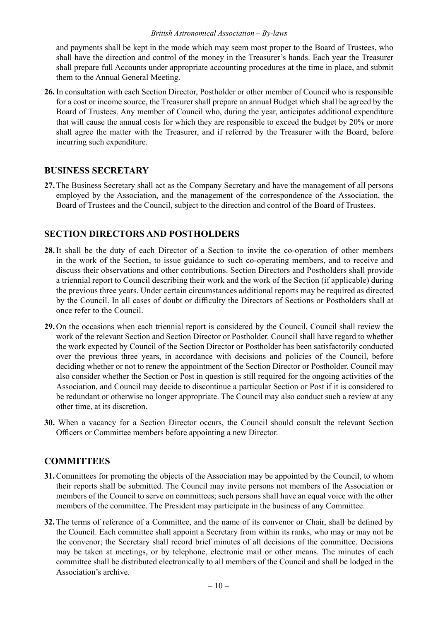#### *British Astronomical Association – By-laws*

and payments shall be kept in the mode which may seem most proper to the Board of Trustees, who shall have the direction and control of the money in the Treasurer's hands. Each year the Treasurer shall prepare full Accounts under appropriate accounting procedures at the time in place, and submit them to the Annual General Meeting.

**26.** In consultation with each Section Director, Postholder or other member of Council who is responsible for a cost or income source, the Treasurer shall prepare an annual Budget which shall be agreed by the Board of Trustees. Any member of Council who, during the year, anticipates additional expenditure that will cause the annual costs for which they are responsible to exceed the budget by 20% or more shall agree the matter with the Treasurer, and if referred by the Treasurer with the Board, before incurring such expenditure.

#### **BUSINESS SECRETARY**

**27.** The Business Secretary shall act as the Company Secretary and have the management of all persons employed by the Association, and the management of the correspondence of the Association, the Board of Trustees and the Council, subject to the direction and control of the Board of Trustees.

#### **SECTION DIRECTORS AND POSTHOLDERS**

- **28.** It shall be the duty of each Director of a Section to invite the co-operation of other members in the work of the Section, to issue guidance to such co-operating members, and to receive and discuss their observations and other contributions. Section Directors and Postholders shall provide a triennial report to Council describing their work and the work of the Section (if applicable) during the previous three years. Under certain circumstances additional reports may be required as directed by the Council. In all cases of doubt or difficulty the Directors of Sections or Postholders shall at once refer to the Council.
- **29.** On the occasions when each triennial report is considered by the Council, Council shall review the work of the relevant Section and Section Director or Postholder. Council shall have regard to whether the work expected by Council of the Section Director or Postholder has been satisfactorily conducted over the previous three years, in accordance with decisions and policies of the Council, before deciding whether or not to renew the appointment of the Section Director or Postholder. Council may also consider whether the Section or Post in question is still required for the ongoing activities of the Association, and Council may decide to discontinue a particular Section or Post if it is considered to be redundant or otherwise no longer appropriate. The Council may also conduct such a review at any other time, at its discretion.
- **30.** When a vacancy for a Section Director occurs, the Council should consult the relevant Section Officers or Committee members before appointing a new Director.

#### **COMMITTEES**

- **31.** Committees for promoting the objects of the Association may be appointed by the Council, to whom their reports shall be submitted. The Council may invite persons not members of the Association or members of the Council to serve on committees; such persons shall have an equal voice with the other members of the committee. The President may participate in the business of any Committee.
- **32.** The terms of reference of a Committee, and the name of its convenor or Chair, shall be defined by the Council. Each committee shall appoint a Secretary from within its ranks, who may or may not be the convenor; the Secretary shall record brief minutes of all decisions of the committee. Decisions may be taken at meetings, or by telephone, electronic mail or other means. The minutes of each committee shall be distributed electronically to all members of the Council and shall be lodged in the Association's archive.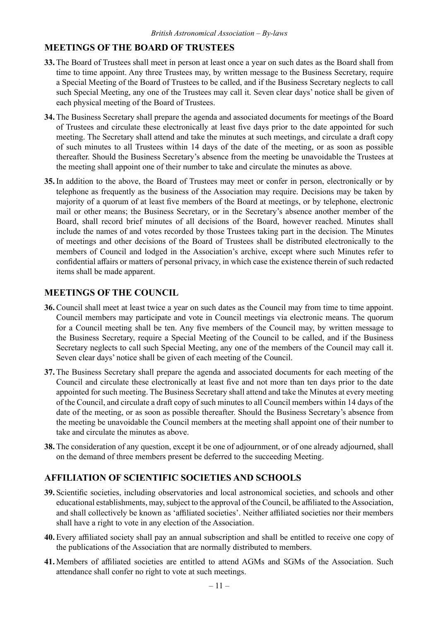#### **MEETINGS OF THE BOARD OF TRUSTEES**

- **33.** The Board of Trustees shall meet in person at least once a year on such dates as the Board shall from time to time appoint. Any three Trustees may, by written message to the Business Secretary, require a Special Meeting of the Board of Trustees to be called, and if the Business Secretary neglects to call such Special Meeting, any one of the Trustees may call it. Seven clear days' notice shall be given of each physical meeting of the Board of Trustees.
- **34.** The Business Secretary shall prepare the agenda and associated documents for meetings of the Board of Trustees and circulate these electronically at least five days prior to the date appointed for such meeting. The Secretary shall attend and take the minutes at such meetings, and circulate a draft copy of such minutes to all Trustees within 14 days of the date of the meeting, or as soon as possible thereafter. Should the Business Secretary's absence from the meeting be unavoidable the Trustees at the meeting shall appoint one of their number to take and circulate the minutes as above.
- **35.** In addition to the above, the Board of Trustees may meet or confer in person, electronically or by telephone as frequently as the business of the Association may require. Decisions may be taken by majority of a quorum of at least five members of the Board at meetings, or by telephone, electronic mail or other means; the Business Secretary, or in the Secretary's absence another member of the Board, shall record brief minutes of all decisions of the Board, however reached. Minutes shall include the names of and votes recorded by those Trustees taking part in the decision. The Minutes of meetings and other decisions of the Board of Trustees shall be distributed electronically to the members of Council and lodged in the Association's archive, except where such Minutes refer to confidential affairs or matters of personal privacy, in which case the existence therein of such redacted items shall be made apparent.

#### **MEETINGS OF THE COUNCIL**

- **36.** Council shall meet at least twice a year on such dates as the Council may from time to time appoint. Council members may participate and vote in Council meetings via electronic means. The quorum for a Council meeting shall be ten. Any five members of the Council may, by written message to the Business Secretary, require a Special Meeting of the Council to be called, and if the Business Secretary neglects to call such Special Meeting, any one of the members of the Council may call it. Seven clear days' notice shall be given of each meeting of the Council.
- **37.** The Business Secretary shall prepare the agenda and associated documents for each meeting of the Council and circulate these electronically at least five and not more than ten days prior to the date appointed for such meeting. The Business Secretary shall attend and take the Minutes at every meeting of the Council, and circulate a draft copy of such minutes to all Council members within 14 days of the date of the meeting, or as soon as possible thereafter. Should the Business Secretary's absence from the meeting be unavoidable the Council members at the meeting shall appoint one of their number to take and circulate the minutes as above.
- **38.** The consideration of any question, except it be one of adjournment, or of one already adjourned, shall on the demand of three members present be deferred to the succeeding Meeting.

#### **AFFILIATION OF SCIENTIFIC SOCIETIES AND SCHOOLS**

- **39.** Scientific societies, including observatories and local astronomical societies, and schools and other educational establishments, may, subject to the approval of the Council, be affiliated to the Association, and shall collectively be known as 'affiliated societies'. Neither affiliated societies nor their members shall have a right to vote in any election of the Association.
- **40.** Every affiliated society shall pay an annual subscription and shall be entitled to receive one copy of the publications of the Association that are normally distributed to members.
- **41.** Members of affiliated societies are entitled to attend AGMs and SGMs of the Association. Such attendance shall confer no right to vote at such meetings.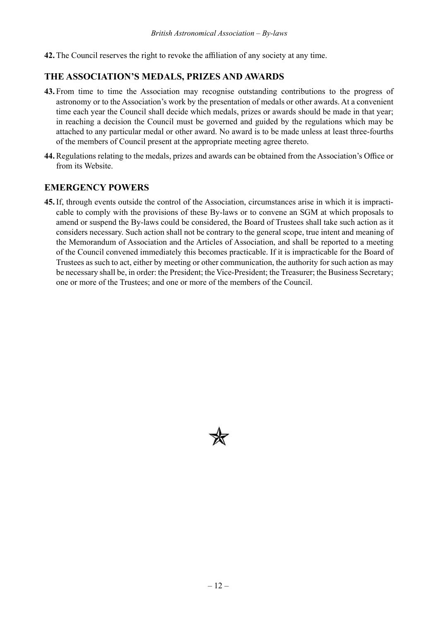**42.** The Council reserves the right to revoke the affiliation of any society at any time.

#### **THE ASSOCIATION'S MEDALS, PRIZES AND AWARDS**

- **43.** From time to time the Association may recognise outstanding contributions to the progress of astronomy or to the Association's work by the presentation of medals or other awards. At a convenient time each year the Council shall decide which medals, prizes or awards should be made in that year; in reaching a decision the Council must be governed and guided by the regulations which may be attached to any particular medal or other award. No award is to be made unless at least three-fourths of the members of Council present at the appropriate meeting agree thereto.
- **44.** Regulations relating to the medals, prizes and awards can be obtained from the Association's Office or from its Website.

#### **EMERGENCY POWERS**

**45.** If, through events outside the control of the Association, circumstances arise in which it is impracticable to comply with the provisions of these By-laws or to convene an SGM at which proposals to amend or suspend the By-laws could be considered, the Board of Trustees shall take such action as it considers necessary. Such action shall not be contrary to the general scope, true intent and meaning of the Memorandum of Association and the Articles of Association, and shall be reported to a meeting of the Council convened immediately this becomes practicable. If it is impracticable for the Board of Trustees as such to act, either by meeting or other communication, the authority for such action as may be necessary shall be, in order: the President; the Vice-President; the Treasurer; the Business Secretary; one or more of the Trustees; and one or more of the members of the Council.